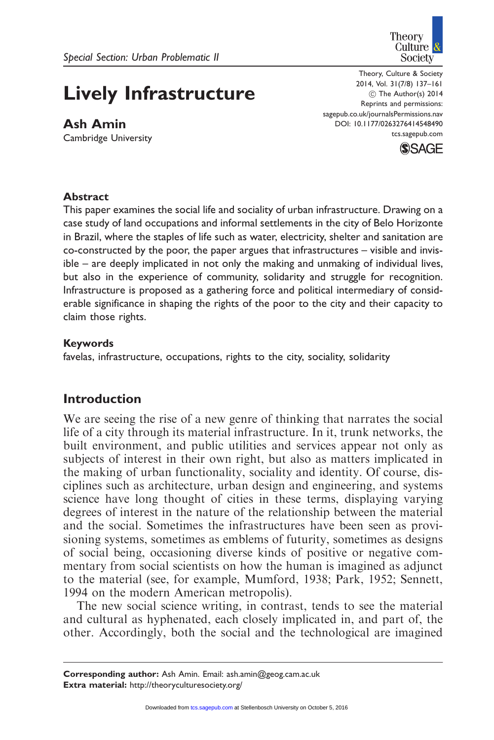

# Lively Infrastructure

Ash Amin

Cambridge University

Theory, Culture & Society 2014, Vol. 31(7/8) 137–161 ! The Author(s) 2014 Reprints and permissions: sagepub.co.uk/journalsPermissions.nav DOI: 10.1177/0263276414548490 tcs.sagepub.com



## **Abstract**

This paper examines the social life and sociality of urban infrastructure. Drawing on a case study of land occupations and informal settlements in the city of Belo Horizonte in Brazil, where the staples of life such as water, electricity, shelter and sanitation are co-constructed by the poor, the paper argues that infrastructures – visible and invisible – are deeply implicated in not only the making and unmaking of individual lives, but also in the experience of community, solidarity and struggle for recognition. Infrastructure is proposed as a gathering force and political intermediary of considerable significance in shaping the rights of the poor to the city and their capacity to claim those rights.

#### Keywords

favelas, infrastructure, occupations, rights to the city, sociality, solidarity

# Introduction

We are seeing the rise of a new genre of thinking that narrates the social life of a city through its material infrastructure. In it, trunk networks, the built environment, and public utilities and services appear not only as subjects of interest in their own right, but also as matters implicated in the making of urban functionality, sociality and identity. Of course, disciplines such as architecture, urban design and engineering, and systems science have long thought of cities in these terms, displaying varying degrees of interest in the nature of the relationship between the material and the social. Sometimes the infrastructures have been seen as provisioning systems, sometimes as emblems of futurity, sometimes as designs of social being, occasioning diverse kinds of positive or negative commentary from social scientists on how the human is imagined as adjunct to the material (see, for example, Mumford, 1938; Park, 1952; Sennett, 1994 on the modern American metropolis).

The new social science writing, in contrast, tends to see the material and cultural as hyphenated, each closely implicated in, and part of, the other. Accordingly, both the social and the technological are imagined

Corresponding author: Ash Amin. Email: ash.amin@geog.cam.ac.uk Extra material: http://theoryculturesociety.org/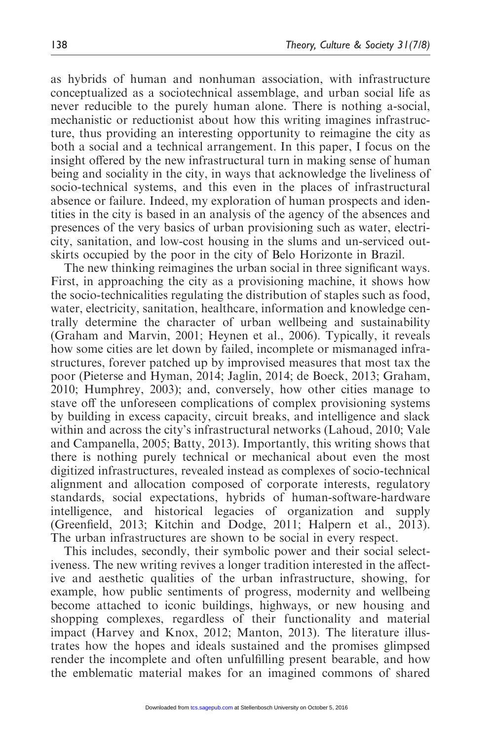as hybrids of human and nonhuman association, with infrastructure conceptualized as a sociotechnical assemblage, and urban social life as never reducible to the purely human alone. There is nothing a-social, mechanistic or reductionist about how this writing imagines infrastructure, thus providing an interesting opportunity to reimagine the city as both a social and a technical arrangement. In this paper, I focus on the insight offered by the new infrastructural turn in making sense of human being and sociality in the city, in ways that acknowledge the liveliness of socio-technical systems, and this even in the places of infrastructural absence or failure. Indeed, my exploration of human prospects and identities in the city is based in an analysis of the agency of the absences and presences of the very basics of urban provisioning such as water, electricity, sanitation, and low-cost housing in the slums and un-serviced outskirts occupied by the poor in the city of Belo Horizonte in Brazil.

The new thinking reimagines the urban social in three significant ways. First, in approaching the city as a provisioning machine, it shows how the socio-technicalities regulating the distribution of staples such as food, water, electricity, sanitation, healthcare, information and knowledge centrally determine the character of urban wellbeing and sustainability (Graham and Marvin, 2001; Heynen et al., 2006). Typically, it reveals how some cities are let down by failed, incomplete or mismanaged infrastructures, forever patched up by improvised measures that most tax the poor (Pieterse and Hyman, 2014; Jaglin, 2014; de Boeck, 2013; Graham, 2010; Humphrey, 2003); and, conversely, how other cities manage to stave off the unforeseen complications of complex provisioning systems by building in excess capacity, circuit breaks, and intelligence and slack within and across the city's infrastructural networks (Lahoud, 2010; Vale and Campanella, 2005; Batty, 2013). Importantly, this writing shows that there is nothing purely technical or mechanical about even the most digitized infrastructures, revealed instead as complexes of socio-technical alignment and allocation composed of corporate interests, regulatory standards, social expectations, hybrids of human-software-hardware intelligence, and historical legacies of organization and supply (Greenfield, 2013; Kitchin and Dodge, 2011; Halpern et al., 2013). The urban infrastructures are shown to be social in every respect.

This includes, secondly, their symbolic power and their social selectiveness. The new writing revives a longer tradition interested in the affective and aesthetic qualities of the urban infrastructure, showing, for example, how public sentiments of progress, modernity and wellbeing become attached to iconic buildings, highways, or new housing and shopping complexes, regardless of their functionality and material impact (Harvey and Knox, 2012; Manton, 2013). The literature illustrates how the hopes and ideals sustained and the promises glimpsed render the incomplete and often unfulfilling present bearable, and how the emblematic material makes for an imagined commons of shared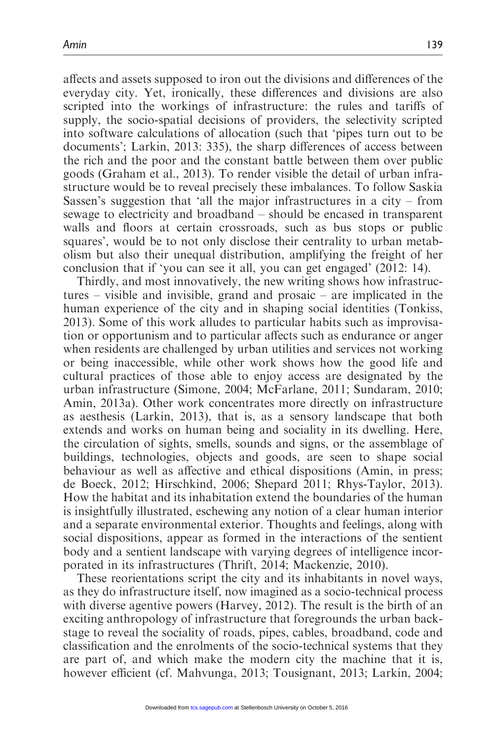affects and assets supposed to iron out the divisions and differences of the everyday city. Yet, ironically, these differences and divisions are also scripted into the workings of infrastructure: the rules and tariffs of supply, the socio-spatial decisions of providers, the selectivity scripted into software calculations of allocation (such that 'pipes turn out to be documents'; Larkin, 2013: 335), the sharp differences of access between the rich and the poor and the constant battle between them over public goods (Graham et al., 2013). To render visible the detail of urban infrastructure would be to reveal precisely these imbalances. To follow Saskia Sassen's suggestion that 'all the major infrastructures in a city – from sewage to electricity and broadband – should be encased in transparent walls and floors at certain crossroads, such as bus stops or public squares', would be to not only disclose their centrality to urban metabolism but also their unequal distribution, amplifying the freight of her conclusion that if 'you can see it all, you can get engaged' (2012: 14).

Thirdly, and most innovatively, the new writing shows how infrastructures – visible and invisible, grand and prosaic – are implicated in the human experience of the city and in shaping social identities (Tonkiss, 2013). Some of this work alludes to particular habits such as improvisation or opportunism and to particular affects such as endurance or anger when residents are challenged by urban utilities and services not working or being inaccessible, while other work shows how the good life and cultural practices of those able to enjoy access are designated by the urban infrastructure (Simone, 2004; McFarlane, 2011; Sundaram, 2010; Amin, 2013a). Other work concentrates more directly on infrastructure as aesthesis (Larkin, 2013), that is, as a sensory landscape that both extends and works on human being and sociality in its dwelling. Here, the circulation of sights, smells, sounds and signs, or the assemblage of buildings, technologies, objects and goods, are seen to shape social behaviour as well as affective and ethical dispositions (Amin, in press; de Boeck, 2012; Hirschkind, 2006; Shepard 2011; Rhys-Taylor, 2013). How the habitat and its inhabitation extend the boundaries of the human is insightfully illustrated, eschewing any notion of a clear human interior and a separate environmental exterior. Thoughts and feelings, along with social dispositions, appear as formed in the interactions of the sentient body and a sentient landscape with varying degrees of intelligence incorporated in its infrastructures (Thrift, 2014; Mackenzie, 2010).

These reorientations script the city and its inhabitants in novel ways, as they do infrastructure itself, now imagined as a socio-technical process with diverse agentive powers (Harvey, 2012). The result is the birth of an exciting anthropology of infrastructure that foregrounds the urban backstage to reveal the sociality of roads, pipes, cables, broadband, code and classification and the enrolments of the socio-technical systems that they are part of, and which make the modern city the machine that it is, however efficient (cf. Mahvunga, 2013; Tousignant, 2013; Larkin, 2004;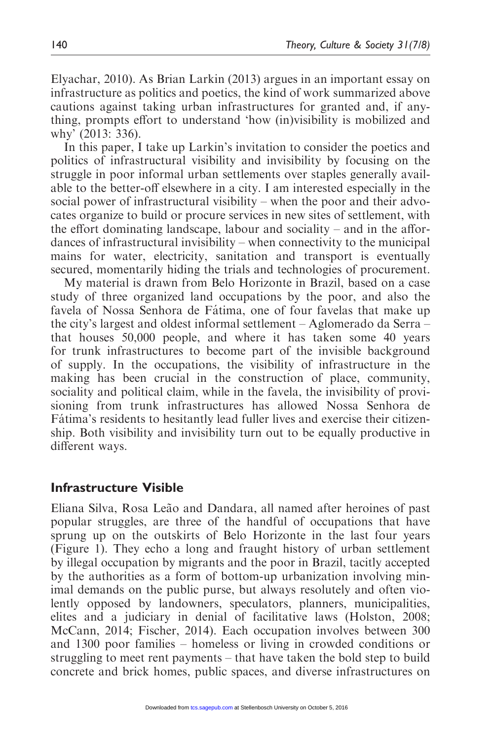Elyachar, 2010). As Brian Larkin (2013) argues in an important essay on infrastructure as politics and poetics, the kind of work summarized above cautions against taking urban infrastructures for granted and, if anything, prompts effort to understand 'how (in)visibility is mobilized and why' (2013: 336).

In this paper, I take up Larkin's invitation to consider the poetics and politics of infrastructural visibility and invisibility by focusing on the struggle in poor informal urban settlements over staples generally available to the better-off elsewhere in a city. I am interested especially in the social power of infrastructural visibility – when the poor and their advocates organize to build or procure services in new sites of settlement, with the effort dominating landscape, labour and sociality – and in the affordances of infrastructural invisibility – when connectivity to the municipal mains for water, electricity, sanitation and transport is eventually secured, momentarily hiding the trials and technologies of procurement.

My material is drawn from Belo Horizonte in Brazil, based on a case study of three organized land occupations by the poor, and also the favela of Nossa Senhora de Fátima, one of four favelas that make up the city's largest and oldest informal settlement – Aglomerado da Serra – that houses 50,000 people, and where it has taken some 40 years for trunk infrastructures to become part of the invisible background of supply. In the occupations, the visibility of infrastructure in the making has been crucial in the construction of place, community, sociality and political claim, while in the favela, the invisibility of provisioning from trunk infrastructures has allowed Nossa Senhora de Fátima's residents to hesitantly lead fuller lives and exercise their citizenship. Both visibility and invisibility turn out to be equally productive in different ways.

#### Infrastructure Visible

Eliana Silva, Rosa Leão and Dandara, all named after heroines of past popular struggles, are three of the handful of occupations that have sprung up on the outskirts of Belo Horizonte in the last four years (Figure 1). They echo a long and fraught history of urban settlement by illegal occupation by migrants and the poor in Brazil, tacitly accepted by the authorities as a form of bottom-up urbanization involving minimal demands on the public purse, but always resolutely and often violently opposed by landowners, speculators, planners, municipalities, elites and a judiciary in denial of facilitative laws (Holston, 2008; McCann, 2014; Fischer, 2014). Each occupation involves between 300 and 1300 poor families – homeless or living in crowded conditions or struggling to meet rent payments – that have taken the bold step to build concrete and brick homes, public spaces, and diverse infrastructures on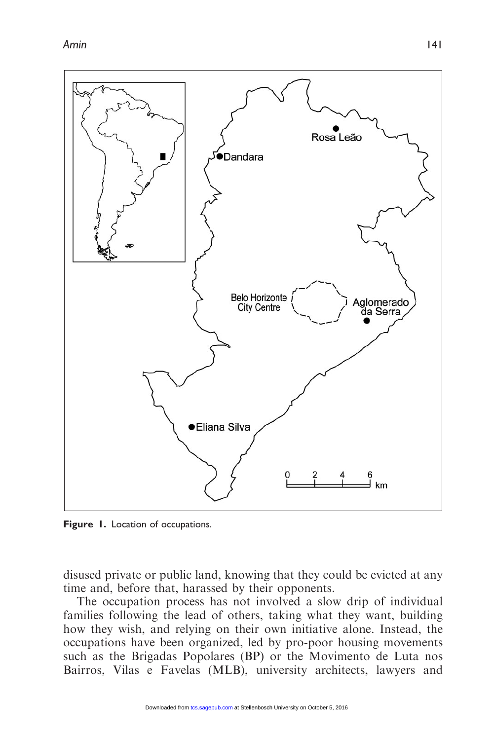

Figure 1. Location of occupations.

disused private or public land, knowing that they could be evicted at any time and, before that, harassed by their opponents.

The occupation process has not involved a slow drip of individual families following the lead of others, taking what they want, building how they wish, and relying on their own initiative alone. Instead, the occupations have been organized, led by pro-poor housing movements such as the Brigadas Popolares (BP) or the Movimento de Luta nos Bairros, Vilas e Favelas (MLB), university architects, lawyers and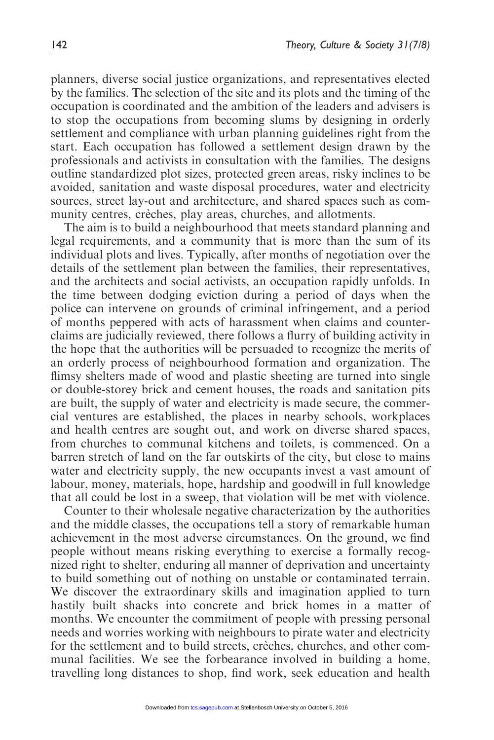planners, diverse social justice organizations, and representatives elected by the families. The selection of the site and its plots and the timing of the occupation is coordinated and the ambition of the leaders and advisers is to stop the occupations from becoming slums by designing in orderly settlement and compliance with urban planning guidelines right from the start. Each occupation has followed a settlement design drawn by the professionals and activists in consultation with the families. The designs outline standardized plot sizes, protected green areas, risky inclines to be avoided, sanitation and waste disposal procedures, water and electricity sources, street lay-out and architecture, and shared spaces such as community centres, crèches, play areas, churches, and allotments.

The aim is to build a neighbourhood that meets standard planning and legal requirements, and a community that is more than the sum of its individual plots and lives. Typically, after months of negotiation over the details of the settlement plan between the families, their representatives, and the architects and social activists, an occupation rapidly unfolds. In the time between dodging eviction during a period of days when the police can intervene on grounds of criminal infringement, and a period of months peppered with acts of harassment when claims and counterclaims are judicially reviewed, there follows a flurry of building activity in the hope that the authorities will be persuaded to recognize the merits of an orderly process of neighbourhood formation and organization. The flimsy shelters made of wood and plastic sheeting are turned into single or double-storey brick and cement houses, the roads and sanitation pits are built, the supply of water and electricity is made secure, the commercial ventures are established, the places in nearby schools, workplaces and health centres are sought out, and work on diverse shared spaces, from churches to communal kitchens and toilets, is commenced. On a barren stretch of land on the far outskirts of the city, but close to mains water and electricity supply, the new occupants invest a vast amount of labour, money, materials, hope, hardship and goodwill in full knowledge that all could be lost in a sweep, that violation will be met with violence.

Counter to their wholesale negative characterization by the authorities and the middle classes, the occupations tell a story of remarkable human achievement in the most adverse circumstances. On the ground, we find people without means risking everything to exercise a formally recognized right to shelter, enduring all manner of deprivation and uncertainty to build something out of nothing on unstable or contaminated terrain. We discover the extraordinary skills and imagination applied to turn hastily built shacks into concrete and brick homes in a matter of months. We encounter the commitment of people with pressing personal needs and worries working with neighbours to pirate water and electricity for the settlement and to build streets, crèches, churches, and other communal facilities. We see the forbearance involved in building a home, travelling long distances to shop, find work, seek education and health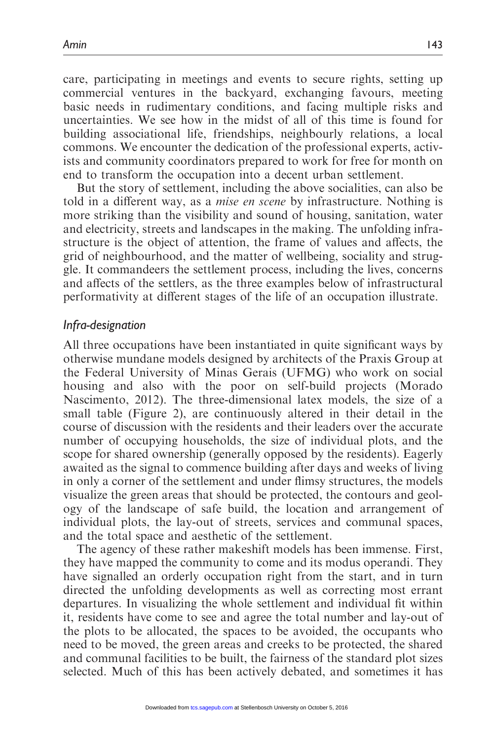care, participating in meetings and events to secure rights, setting up commercial ventures in the backyard, exchanging favours, meeting basic needs in rudimentary conditions, and facing multiple risks and uncertainties. We see how in the midst of all of this time is found for building associational life, friendships, neighbourly relations, a local commons. We encounter the dedication of the professional experts, activists and community coordinators prepared to work for free for month on end to transform the occupation into a decent urban settlement.

But the story of settlement, including the above socialities, can also be told in a different way, as a mise en scene by infrastructure. Nothing is more striking than the visibility and sound of housing, sanitation, water and electricity, streets and landscapes in the making. The unfolding infrastructure is the object of attention, the frame of values and affects, the grid of neighbourhood, and the matter of wellbeing, sociality and struggle. It commandeers the settlement process, including the lives, concerns and affects of the settlers, as the three examples below of infrastructural performativity at different stages of the life of an occupation illustrate.

#### Infra-designation

All three occupations have been instantiated in quite significant ways by otherwise mundane models designed by architects of the Praxis Group at the Federal University of Minas Gerais (UFMG) who work on social housing and also with the poor on self-build projects (Morado Nascimento, 2012). The three-dimensional latex models, the size of a small table (Figure 2), are continuously altered in their detail in the course of discussion with the residents and their leaders over the accurate number of occupying households, the size of individual plots, and the scope for shared ownership (generally opposed by the residents). Eagerly awaited as the signal to commence building after days and weeks of living in only a corner of the settlement and under flimsy structures, the models visualize the green areas that should be protected, the contours and geology of the landscape of safe build, the location and arrangement of individual plots, the lay-out of streets, services and communal spaces, and the total space and aesthetic of the settlement.

The agency of these rather makeshift models has been immense. First, they have mapped the community to come and its modus operandi. They have signalled an orderly occupation right from the start, and in turn directed the unfolding developments as well as correcting most errant departures. In visualizing the whole settlement and individual fit within it, residents have come to see and agree the total number and lay-out of the plots to be allocated, the spaces to be avoided, the occupants who need to be moved, the green areas and creeks to be protected, the shared and communal facilities to be built, the fairness of the standard plot sizes selected. Much of this has been actively debated, and sometimes it has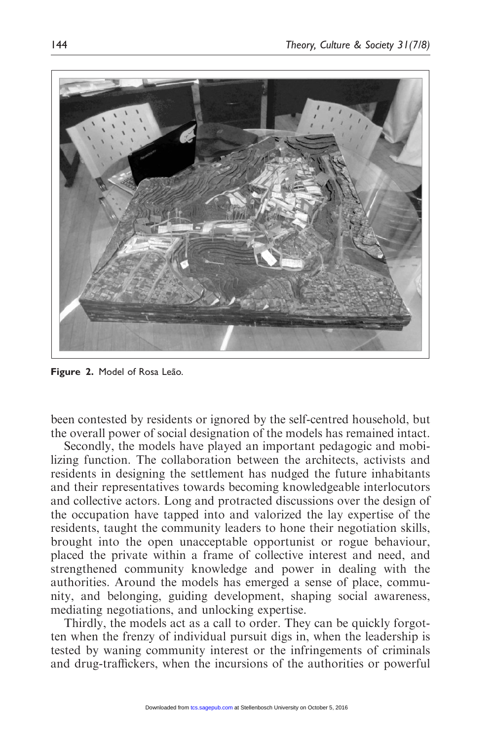

Figure 2. Model of Rosa Leão.

been contested by residents or ignored by the self-centred household, but the overall power of social designation of the models has remained intact.

Secondly, the models have played an important pedagogic and mobilizing function. The collaboration between the architects, activists and residents in designing the settlement has nudged the future inhabitants and their representatives towards becoming knowledgeable interlocutors and collective actors. Long and protracted discussions over the design of the occupation have tapped into and valorized the lay expertise of the residents, taught the community leaders to hone their negotiation skills, brought into the open unacceptable opportunist or rogue behaviour, placed the private within a frame of collective interest and need, and strengthened community knowledge and power in dealing with the authorities. Around the models has emerged a sense of place, community, and belonging, guiding development, shaping social awareness, mediating negotiations, and unlocking expertise.

Thirdly, the models act as a call to order. They can be quickly forgotten when the frenzy of individual pursuit digs in, when the leadership is tested by waning community interest or the infringements of criminals and drug-traffickers, when the incursions of the authorities or powerful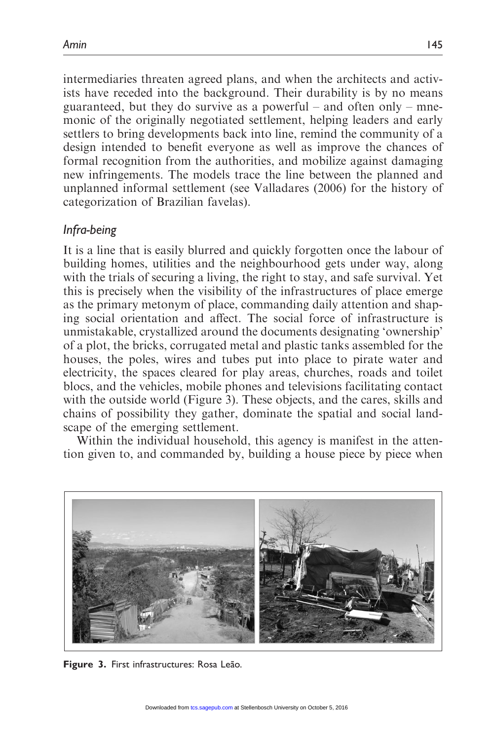intermediaries threaten agreed plans, and when the architects and activists have receded into the background. Their durability is by no means guaranteed, but they do survive as a powerful – and often only – mnemonic of the originally negotiated settlement, helping leaders and early settlers to bring developments back into line, remind the community of a design intended to benefit everyone as well as improve the chances of formal recognition from the authorities, and mobilize against damaging new infringements. The models trace the line between the planned and unplanned informal settlement (see Valladares (2006) for the history of categorization of Brazilian favelas).

## Infra-being

It is a line that is easily blurred and quickly forgotten once the labour of building homes, utilities and the neighbourhood gets under way, along with the trials of securing a living, the right to stay, and safe survival. Yet this is precisely when the visibility of the infrastructures of place emerge as the primary metonym of place, commanding daily attention and shaping social orientation and affect. The social force of infrastructure is unmistakable, crystallized around the documents designating 'ownership' of a plot, the bricks, corrugated metal and plastic tanks assembled for the houses, the poles, wires and tubes put into place to pirate water and electricity, the spaces cleared for play areas, churches, roads and toilet blocs, and the vehicles, mobile phones and televisions facilitating contact with the outside world (Figure 3). These objects, and the cares, skills and chains of possibility they gather, dominate the spatial and social landscape of the emerging settlement.

Within the individual household, this agency is manifest in the attention given to, and commanded by, building a house piece by piece when



Figure 3. First infrastructures: Rosa Leão.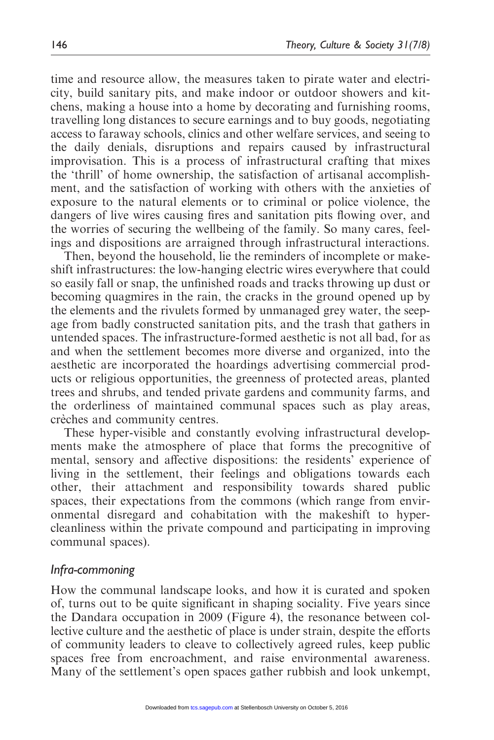time and resource allow, the measures taken to pirate water and electricity, build sanitary pits, and make indoor or outdoor showers and kitchens, making a house into a home by decorating and furnishing rooms, travelling long distances to secure earnings and to buy goods, negotiating access to faraway schools, clinics and other welfare services, and seeing to the daily denials, disruptions and repairs caused by infrastructural improvisation. This is a process of infrastructural crafting that mixes the 'thrill' of home ownership, the satisfaction of artisanal accomplishment, and the satisfaction of working with others with the anxieties of exposure to the natural elements or to criminal or police violence, the dangers of live wires causing fires and sanitation pits flowing over, and the worries of securing the wellbeing of the family. So many cares, feelings and dispositions are arraigned through infrastructural interactions.

Then, beyond the household, lie the reminders of incomplete or makeshift infrastructures: the low-hanging electric wires everywhere that could so easily fall or snap, the unfinished roads and tracks throwing up dust or becoming quagmires in the rain, the cracks in the ground opened up by the elements and the rivulets formed by unmanaged grey water, the seepage from badly constructed sanitation pits, and the trash that gathers in untended spaces. The infrastructure-formed aesthetic is not all bad, for as and when the settlement becomes more diverse and organized, into the aesthetic are incorporated the hoardings advertising commercial products or religious opportunities, the greenness of protected areas, planted trees and shrubs, and tended private gardens and community farms, and the orderliness of maintained communal spaces such as play areas, crèches and community centres.

These hyper-visible and constantly evolving infrastructural developments make the atmosphere of place that forms the precognitive of mental, sensory and affective dispositions: the residents' experience of living in the settlement, their feelings and obligations towards each other, their attachment and responsibility towards shared public spaces, their expectations from the commons (which range from environmental disregard and cohabitation with the makeshift to hypercleanliness within the private compound and participating in improving communal spaces).

#### Infra-commoning

How the communal landscape looks, and how it is curated and spoken of, turns out to be quite significant in shaping sociality. Five years since the Dandara occupation in 2009 (Figure 4), the resonance between collective culture and the aesthetic of place is under strain, despite the efforts of community leaders to cleave to collectively agreed rules, keep public spaces free from encroachment, and raise environmental awareness. Many of the settlement's open spaces gather rubbish and look unkempt,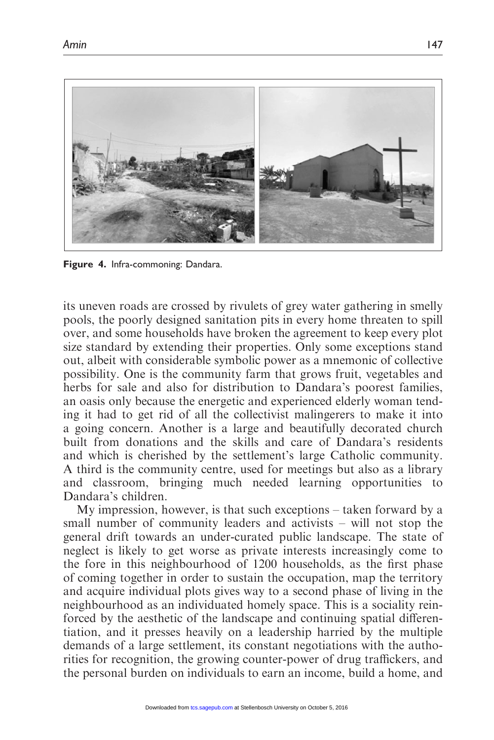

Figure 4. Infra-commoning: Dandara.

its uneven roads are crossed by rivulets of grey water gathering in smelly pools, the poorly designed sanitation pits in every home threaten to spill over, and some households have broken the agreement to keep every plot size standard by extending their properties. Only some exceptions stand out, albeit with considerable symbolic power as a mnemonic of collective possibility. One is the community farm that grows fruit, vegetables and herbs for sale and also for distribution to Dandara's poorest families, an oasis only because the energetic and experienced elderly woman tending it had to get rid of all the collectivist malingerers to make it into a going concern. Another is a large and beautifully decorated church built from donations and the skills and care of Dandara's residents and which is cherished by the settlement's large Catholic community. A third is the community centre, used for meetings but also as a library and classroom, bringing much needed learning opportunities to Dandara's children.

My impression, however, is that such exceptions – taken forward by a small number of community leaders and activists – will not stop the general drift towards an under-curated public landscape. The state of neglect is likely to get worse as private interests increasingly come to the fore in this neighbourhood of 1200 households, as the first phase of coming together in order to sustain the occupation, map the territory and acquire individual plots gives way to a second phase of living in the neighbourhood as an individuated homely space. This is a sociality reinforced by the aesthetic of the landscape and continuing spatial differentiation, and it presses heavily on a leadership harried by the multiple demands of a large settlement, its constant negotiations with the authorities for recognition, the growing counter-power of drug traffickers, and the personal burden on individuals to earn an income, build a home, and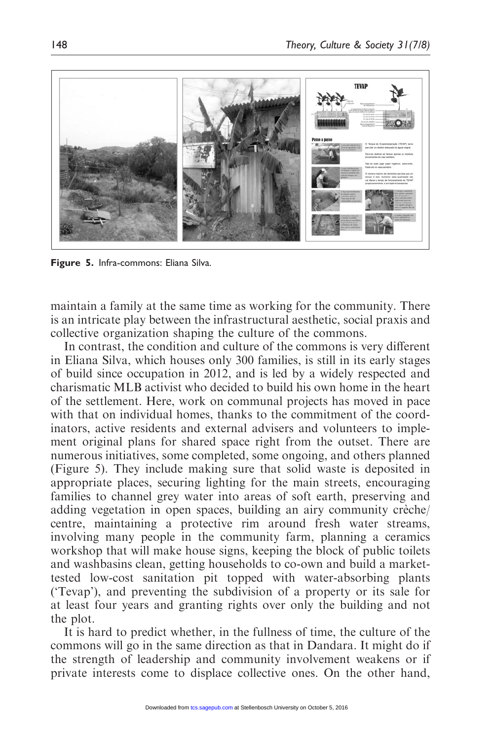

Figure 5. Infra-commons: Eliana Silva.

maintain a family at the same time as working for the community. There is an intricate play between the infrastructural aesthetic, social praxis and collective organization shaping the culture of the commons.

In contrast, the condition and culture of the commons is very different in Eliana Silva, which houses only 300 families, is still in its early stages of build since occupation in 2012, and is led by a widely respected and charismatic MLB activist who decided to build his own home in the heart of the settlement. Here, work on communal projects has moved in pace with that on individual homes, thanks to the commitment of the coordinators, active residents and external advisers and volunteers to implement original plans for shared space right from the outset. There are numerous initiatives, some completed, some ongoing, and others planned (Figure 5). They include making sure that solid waste is deposited in appropriate places, securing lighting for the main streets, encouraging families to channel grey water into areas of soft earth, preserving and adding vegetation in open spaces, building an airy community créche/ centre, maintaining a protective rim around fresh water streams, involving many people in the community farm, planning a ceramics workshop that will make house signs, keeping the block of public toilets and washbasins clean, getting households to co-own and build a markettested low-cost sanitation pit topped with water-absorbing plants ('Tevap'), and preventing the subdivision of a property or its sale for at least four years and granting rights over only the building and not the plot.

It is hard to predict whether, in the fullness of time, the culture of the commons will go in the same direction as that in Dandara. It might do if the strength of leadership and community involvement weakens or if private interests come to displace collective ones. On the other hand,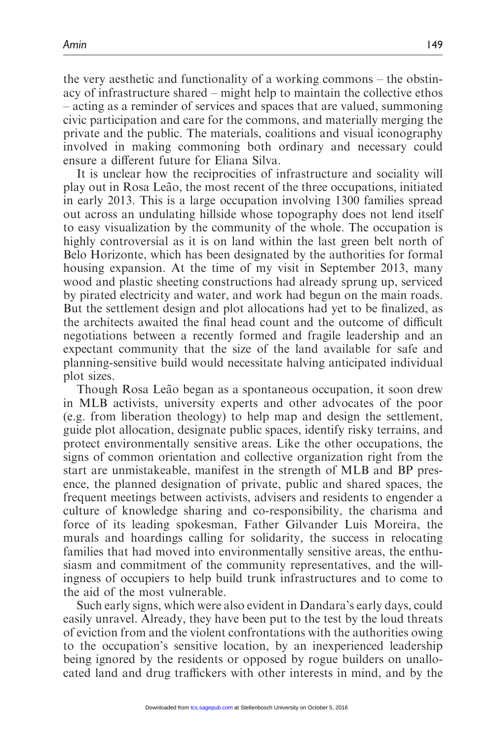the very aesthetic and functionality of a working commons – the obstinacy of infrastructure shared – might help to maintain the collective ethos – acting as a reminder of services and spaces that are valued, summoning civic participation and care for the commons, and materially merging the private and the public. The materials, coalitions and visual iconography involved in making commoning both ordinary and necessary could ensure a different future for Eliana Silva.

It is unclear how the reciprocities of infrastructure and sociality will play out in Rosa Leão, the most recent of the three occupations, initiated in early 2013. This is a large occupation involving 1300 families spread out across an undulating hillside whose topography does not lend itself to easy visualization by the community of the whole. The occupation is highly controversial as it is on land within the last green belt north of Belo Horizonte, which has been designated by the authorities for formal housing expansion. At the time of my visit in September 2013, many wood and plastic sheeting constructions had already sprung up, serviced by pirated electricity and water, and work had begun on the main roads. But the settlement design and plot allocations had yet to be finalized, as the architects awaited the final head count and the outcome of difficult negotiations between a recently formed and fragile leadership and an expectant community that the size of the land available for safe and planning-sensitive build would necessitate halving anticipated individual plot sizes.

Though Rosa Leão began as a spontaneous occupation, it soon drew in MLB activists, university experts and other advocates of the poor (e.g. from liberation theology) to help map and design the settlement, guide plot allocation, designate public spaces, identify risky terrains, and protect environmentally sensitive areas. Like the other occupations, the signs of common orientation and collective organization right from the start are unmistakeable, manifest in the strength of MLB and BP presence, the planned designation of private, public and shared spaces, the frequent meetings between activists, advisers and residents to engender a culture of knowledge sharing and co-responsibility, the charisma and force of its leading spokesman, Father Gilvander Luis Moreira, the murals and hoardings calling for solidarity, the success in relocating families that had moved into environmentally sensitive areas, the enthusiasm and commitment of the community representatives, and the willingness of occupiers to help build trunk infrastructures and to come to the aid of the most vulnerable.

Such early signs, which were also evident in Dandara's early days, could easily unravel. Already, they have been put to the test by the loud threats of eviction from and the violent confrontations with the authorities owing to the occupation's sensitive location, by an inexperienced leadership being ignored by the residents or opposed by rogue builders on unallocated land and drug traffickers with other interests in mind, and by the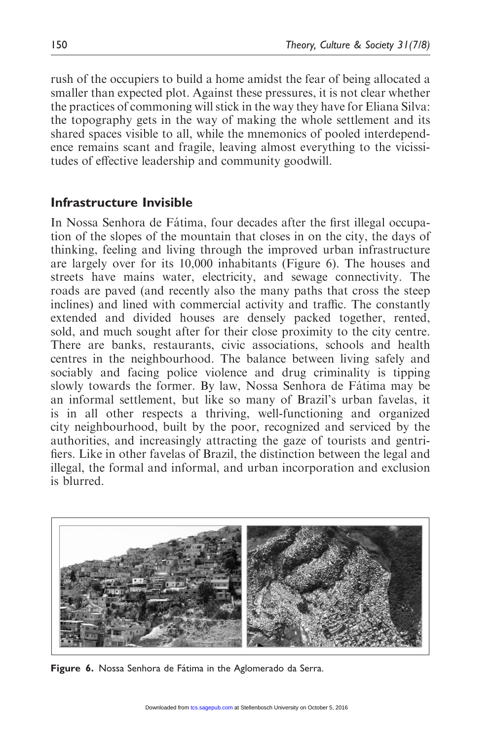rush of the occupiers to build a home amidst the fear of being allocated a smaller than expected plot. Against these pressures, it is not clear whether the practices of commoning will stick in the way they have for Eliana Silva: the topography gets in the way of making the whole settlement and its shared spaces visible to all, while the mnemonics of pooled interdependence remains scant and fragile, leaving almost everything to the vicissitudes of effective leadership and community goodwill.

# Infrastructure Invisible

In Nossa Senhora de Fátima, four decades after the first illegal occupation of the slopes of the mountain that closes in on the city, the days of thinking, feeling and living through the improved urban infrastructure are largely over for its 10,000 inhabitants (Figure 6). The houses and streets have mains water, electricity, and sewage connectivity. The roads are paved (and recently also the many paths that cross the steep inclines) and lined with commercial activity and traffic. The constantly extended and divided houses are densely packed together, rented, sold, and much sought after for their close proximity to the city centre. There are banks, restaurants, civic associations, schools and health centres in the neighbourhood. The balance between living safely and sociably and facing police violence and drug criminality is tipping slowly towards the former. By law, Nossa Senhora de Fátima may be an informal settlement, but like so many of Brazil's urban favelas, it is in all other respects a thriving, well-functioning and organized city neighbourhood, built by the poor, recognized and serviced by the authorities, and increasingly attracting the gaze of tourists and gentrifiers. Like in other favelas of Brazil, the distinction between the legal and illegal, the formal and informal, and urban incorporation and exclusion is blurred.



Figure 6. Nossa Senhora de Fátima in the Aglomerado da Serra.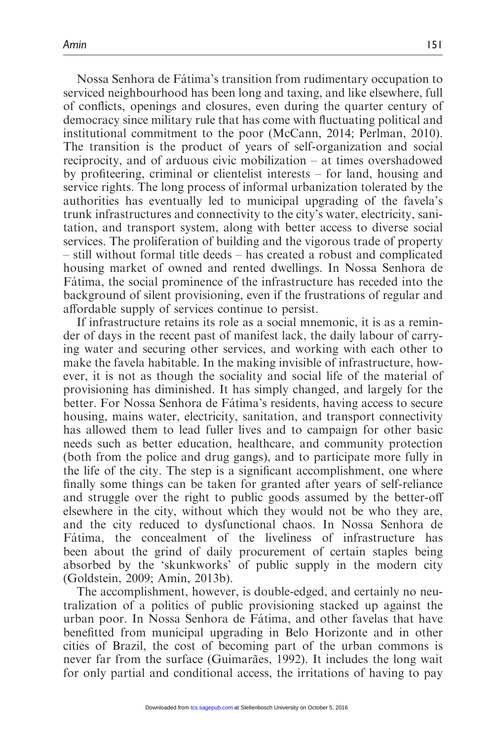Nossa Senhora de Fátima's transition from rudimentary occupation to serviced neighbourhood has been long and taxing, and like elsewhere, full of conflicts, openings and closures, even during the quarter century of democracy since military rule that has come with fluctuating political and institutional commitment to the poor (McCann, 2014; Perlman, 2010). The transition is the product of years of self-organization and social reciprocity, and of arduous civic mobilization – at times overshadowed by profiteering, criminal or clientelist interests – for land, housing and service rights. The long process of informal urbanization tolerated by the authorities has eventually led to municipal upgrading of the favela's trunk infrastructures and connectivity to the city's water, electricity, sanitation, and transport system, along with better access to diverse social services. The proliferation of building and the vigorous trade of property – still without formal title deeds – has created a robust and complicated housing market of owned and rented dwellings. In Nossa Senhora de Fátima, the social prominence of the infrastructure has receded into the background of silent provisioning, even if the frustrations of regular and affordable supply of services continue to persist.

If infrastructure retains its role as a social mnemonic, it is as a reminder of days in the recent past of manifest lack, the daily labour of carrying water and securing other services, and working with each other to make the favela habitable. In the making invisible of infrastructure, however, it is not as though the sociality and social life of the material of provisioning has diminished. It has simply changed, and largely for the better. For Nossa Senhora de Fátima's residents, having access to secure housing, mains water, electricity, sanitation, and transport connectivity has allowed them to lead fuller lives and to campaign for other basic needs such as better education, healthcare, and community protection (both from the police and drug gangs), and to participate more fully in the life of the city. The step is a significant accomplishment, one where finally some things can be taken for granted after years of self-reliance and struggle over the right to public goods assumed by the better-off elsewhere in the city, without which they would not be who they are, and the city reduced to dysfunctional chaos. In Nossa Senhora de Fátima, the concealment of the liveliness of infrastructure has been about the grind of daily procurement of certain staples being absorbed by the 'skunkworks' of public supply in the modern city (Goldstein, 2009; Amin, 2013b).

The accomplishment, however, is double-edged, and certainly no neutralization of a politics of public provisioning stacked up against the urban poor. In Nossa Senhora de Fa´tima, and other favelas that have benefitted from municipal upgrading in Belo Horizonte and in other cities of Brazil, the cost of becoming part of the urban commons is never far from the surface (Guimarães, 1992). It includes the long wait for only partial and conditional access, the irritations of having to pay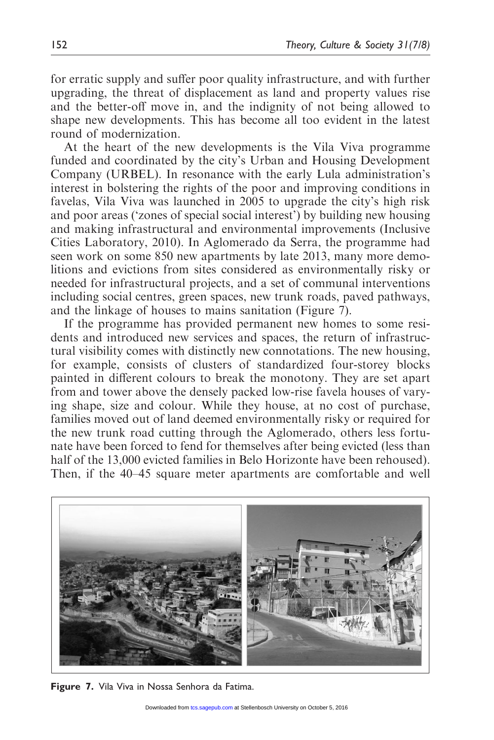for erratic supply and suffer poor quality infrastructure, and with further upgrading, the threat of displacement as land and property values rise and the better-off move in, and the indignity of not being allowed to shape new developments. This has become all too evident in the latest round of modernization.

At the heart of the new developments is the Vila Viva programme funded and coordinated by the city's Urban and Housing Development Company (URBEL). In resonance with the early Lula administration's interest in bolstering the rights of the poor and improving conditions in favelas, Vila Viva was launched in 2005 to upgrade the city's high risk and poor areas ('zones of special social interest') by building new housing and making infrastructural and environmental improvements (Inclusive Cities Laboratory, 2010). In Aglomerado da Serra, the programme had seen work on some 850 new apartments by late 2013, many more demolitions and evictions from sites considered as environmentally risky or needed for infrastructural projects, and a set of communal interventions including social centres, green spaces, new trunk roads, paved pathways, and the linkage of houses to mains sanitation (Figure 7).

If the programme has provided permanent new homes to some residents and introduced new services and spaces, the return of infrastructural visibility comes with distinctly new connotations. The new housing, for example, consists of clusters of standardized four-storey blocks painted in different colours to break the monotony. They are set apart from and tower above the densely packed low-rise favela houses of varying shape, size and colour. While they house, at no cost of purchase, families moved out of land deemed environmentally risky or required for the new trunk road cutting through the Aglomerado, others less fortunate have been forced to fend for themselves after being evicted (less than half of the 13,000 evicted families in Belo Horizonte have been rehoused). Then, if the 40–45 square meter apartments are comfortable and well



Figure 7. Vila Viva in Nossa Senhora da Fatima.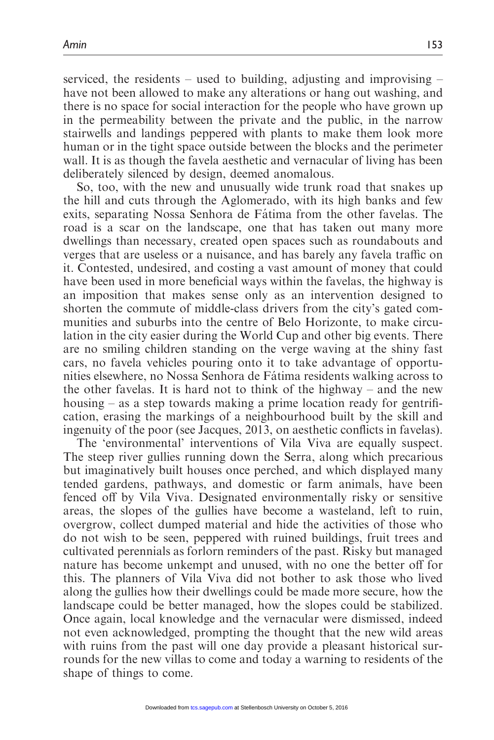serviced, the residents – used to building, adjusting and improvising – have not been allowed to make any alterations or hang out washing, and there is no space for social interaction for the people who have grown up in the permeability between the private and the public, in the narrow stairwells and landings peppered with plants to make them look more human or in the tight space outside between the blocks and the perimeter wall. It is as though the favela aesthetic and vernacular of living has been deliberately silenced by design, deemed anomalous.

So, too, with the new and unusually wide trunk road that snakes up the hill and cuts through the Aglomerado, with its high banks and few exits, separating Nossa Senhora de Fátima from the other favelas. The road is a scar on the landscape, one that has taken out many more dwellings than necessary, created open spaces such as roundabouts and verges that are useless or a nuisance, and has barely any favela traffic on it. Contested, undesired, and costing a vast amount of money that could have been used in more beneficial ways within the favelas, the highway is an imposition that makes sense only as an intervention designed to shorten the commute of middle-class drivers from the city's gated communities and suburbs into the centre of Belo Horizonte, to make circulation in the city easier during the World Cup and other big events. There are no smiling children standing on the verge waving at the shiny fast cars, no favela vehicles pouring onto it to take advantage of opportunities elsewhere, no Nossa Senhora de Fa´tima residents walking across to the other favelas. It is hard not to think of the highway – and the new housing – as a step towards making a prime location ready for gentrification, erasing the markings of a neighbourhood built by the skill and ingenuity of the poor (see Jacques, 2013, on aesthetic conflicts in favelas).

The 'environmental' interventions of Vila Viva are equally suspect. The steep river gullies running down the Serra, along which precarious but imaginatively built houses once perched, and which displayed many tended gardens, pathways, and domestic or farm animals, have been fenced off by Vila Viva. Designated environmentally risky or sensitive areas, the slopes of the gullies have become a wasteland, left to ruin, overgrow, collect dumped material and hide the activities of those who do not wish to be seen, peppered with ruined buildings, fruit trees and cultivated perennials as forlorn reminders of the past. Risky but managed nature has become unkempt and unused, with no one the better off for this. The planners of Vila Viva did not bother to ask those who lived along the gullies how their dwellings could be made more secure, how the landscape could be better managed, how the slopes could be stabilized. Once again, local knowledge and the vernacular were dismissed, indeed not even acknowledged, prompting the thought that the new wild areas with ruins from the past will one day provide a pleasant historical surrounds for the new villas to come and today a warning to residents of the shape of things to come.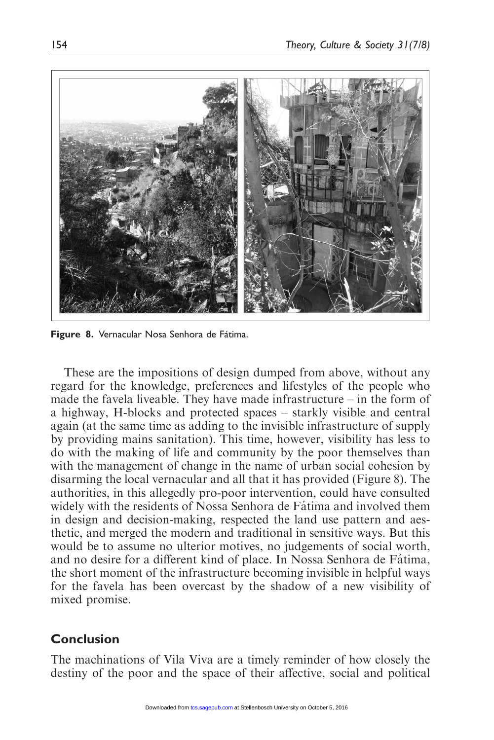

Figure 8. Vernacular Nosa Senhora de Fátima.

These are the impositions of design dumped from above, without any regard for the knowledge, preferences and lifestyles of the people who made the favela liveable. They have made infrastructure – in the form of a highway, H-blocks and protected spaces – starkly visible and central again (at the same time as adding to the invisible infrastructure of supply by providing mains sanitation). This time, however, visibility has less to do with the making of life and community by the poor themselves than with the management of change in the name of urban social cohesion by disarming the local vernacular and all that it has provided (Figure 8). The authorities, in this allegedly pro-poor intervention, could have consulted widely with the residents of Nossa Senhora de Fátima and involved them in design and decision-making, respected the land use pattern and aesthetic, and merged the modern and traditional in sensitive ways. But this would be to assume no ulterior motives, no judgements of social worth, and no desire for a different kind of place. In Nossa Senhora de Fátima, the short moment of the infrastructure becoming invisible in helpful ways for the favela has been overcast by the shadow of a new visibility of mixed promise.

#### Conclusion

The machinations of Vila Viva are a timely reminder of how closely the destiny of the poor and the space of their affective, social and political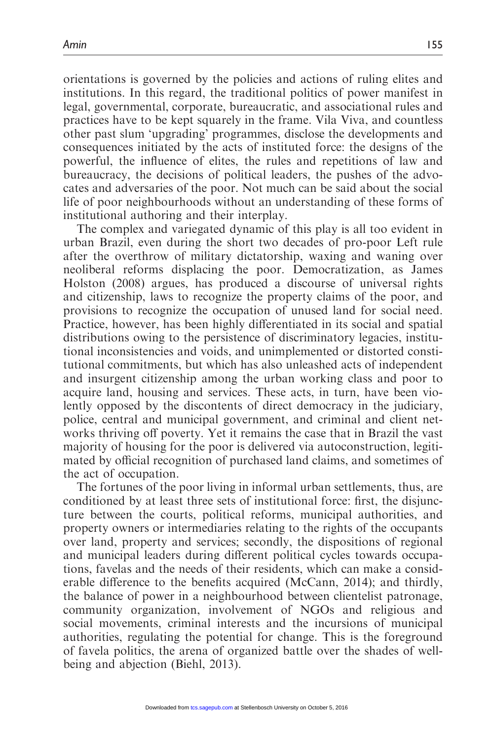orientations is governed by the policies and actions of ruling elites and institutions. In this regard, the traditional politics of power manifest in legal, governmental, corporate, bureaucratic, and associational rules and practices have to be kept squarely in the frame. Vila Viva, and countless other past slum 'upgrading' programmes, disclose the developments and consequences initiated by the acts of instituted force: the designs of the powerful, the influence of elites, the rules and repetitions of law and bureaucracy, the decisions of political leaders, the pushes of the advocates and adversaries of the poor. Not much can be said about the social life of poor neighbourhoods without an understanding of these forms of institutional authoring and their interplay.

The complex and variegated dynamic of this play is all too evident in urban Brazil, even during the short two decades of pro-poor Left rule after the overthrow of military dictatorship, waxing and waning over neoliberal reforms displacing the poor. Democratization, as James Holston (2008) argues, has produced a discourse of universal rights and citizenship, laws to recognize the property claims of the poor, and provisions to recognize the occupation of unused land for social need. Practice, however, has been highly differentiated in its social and spatial distributions owing to the persistence of discriminatory legacies, institutional inconsistencies and voids, and unimplemented or distorted constitutional commitments, but which has also unleashed acts of independent and insurgent citizenship among the urban working class and poor to acquire land, housing and services. These acts, in turn, have been violently opposed by the discontents of direct democracy in the judiciary, police, central and municipal government, and criminal and client networks thriving off poverty. Yet it remains the case that in Brazil the vast majority of housing for the poor is delivered via autoconstruction, legitimated by official recognition of purchased land claims, and sometimes of the act of occupation.

The fortunes of the poor living in informal urban settlements, thus, are conditioned by at least three sets of institutional force: first, the disjuncture between the courts, political reforms, municipal authorities, and property owners or intermediaries relating to the rights of the occupants over land, property and services; secondly, the dispositions of regional and municipal leaders during different political cycles towards occupations, favelas and the needs of their residents, which can make a considerable difference to the benefits acquired (McCann, 2014); and thirdly, the balance of power in a neighbourhood between clientelist patronage, community organization, involvement of NGOs and religious and social movements, criminal interests and the incursions of municipal authorities, regulating the potential for change. This is the foreground of favela politics, the arena of organized battle over the shades of wellbeing and abjection (Biehl, 2013).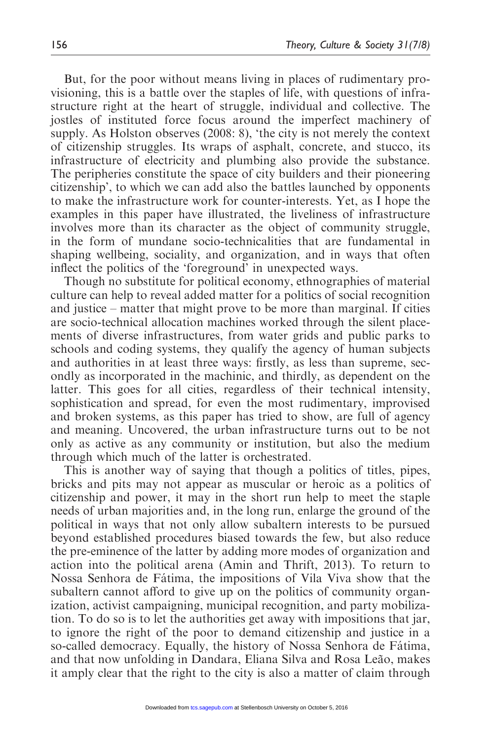But, for the poor without means living in places of rudimentary provisioning, this is a battle over the staples of life, with questions of infrastructure right at the heart of struggle, individual and collective. The jostles of instituted force focus around the imperfect machinery of supply. As Holston observes (2008: 8), 'the city is not merely the context of citizenship struggles. Its wraps of asphalt, concrete, and stucco, its infrastructure of electricity and plumbing also provide the substance. The peripheries constitute the space of city builders and their pioneering citizenship', to which we can add also the battles launched by opponents to make the infrastructure work for counter-interests. Yet, as I hope the examples in this paper have illustrated, the liveliness of infrastructure involves more than its character as the object of community struggle, in the form of mundane socio-technicalities that are fundamental in shaping wellbeing, sociality, and organization, and in ways that often inflect the politics of the 'foreground' in unexpected ways.

Though no substitute for political economy, ethnographies of material culture can help to reveal added matter for a politics of social recognition and justice – matter that might prove to be more than marginal. If cities are socio-technical allocation machines worked through the silent placements of diverse infrastructures, from water grids and public parks to schools and coding systems, they qualify the agency of human subjects and authorities in at least three ways: firstly, as less than supreme, secondly as incorporated in the machinic, and thirdly, as dependent on the latter. This goes for all cities, regardless of their technical intensity, sophistication and spread, for even the most rudimentary, improvised and broken systems, as this paper has tried to show, are full of agency and meaning. Uncovered, the urban infrastructure turns out to be not only as active as any community or institution, but also the medium through which much of the latter is orchestrated.

This is another way of saying that though a politics of titles, pipes, bricks and pits may not appear as muscular or heroic as a politics of citizenship and power, it may in the short run help to meet the staple needs of urban majorities and, in the long run, enlarge the ground of the political in ways that not only allow subaltern interests to be pursued beyond established procedures biased towards the few, but also reduce the pre-eminence of the latter by adding more modes of organization and action into the political arena (Amin and Thrift, 2013). To return to Nossa Senhora de Fátima, the impositions of Vila Viva show that the subaltern cannot afford to give up on the politics of community organization, activist campaigning, municipal recognition, and party mobilization. To do so is to let the authorities get away with impositions that jar, to ignore the right of the poor to demand citizenship and justice in a so-called democracy. Equally, the history of Nossa Senhora de Fátima, and that now unfolding in Dandara, Eliana Silva and Rosa Leão, makes it amply clear that the right to the city is also a matter of claim through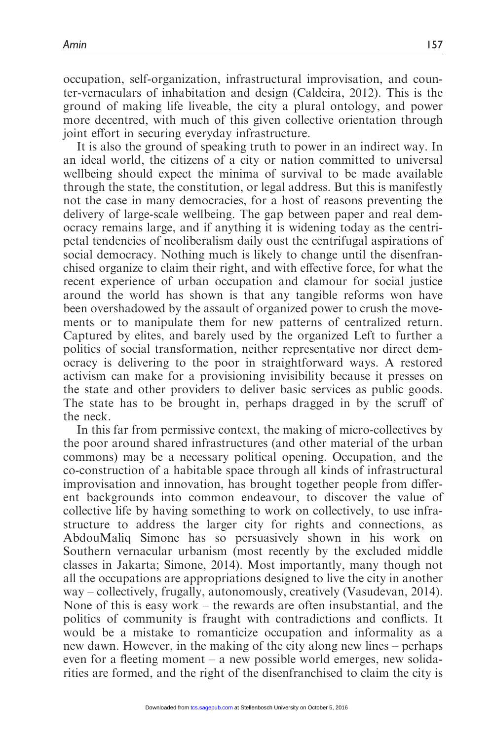occupation, self-organization, infrastructural improvisation, and counter-vernaculars of inhabitation and design (Caldeira, 2012). This is the ground of making life liveable, the city a plural ontology, and power more decentred, with much of this given collective orientation through joint effort in securing everyday infrastructure.

It is also the ground of speaking truth to power in an indirect way. In an ideal world, the citizens of a city or nation committed to universal wellbeing should expect the minima of survival to be made available through the state, the constitution, or legal address. But this is manifestly not the case in many democracies, for a host of reasons preventing the delivery of large-scale wellbeing. The gap between paper and real democracy remains large, and if anything it is widening today as the centripetal tendencies of neoliberalism daily oust the centrifugal aspirations of social democracy. Nothing much is likely to change until the disenfranchised organize to claim their right, and with effective force, for what the recent experience of urban occupation and clamour for social justice around the world has shown is that any tangible reforms won have been overshadowed by the assault of organized power to crush the movements or to manipulate them for new patterns of centralized return. Captured by elites, and barely used by the organized Left to further a politics of social transformation, neither representative nor direct democracy is delivering to the poor in straightforward ways. A restored activism can make for a provisioning invisibility because it presses on the state and other providers to deliver basic services as public goods. The state has to be brought in, perhaps dragged in by the scruff of the neck.

In this far from permissive context, the making of micro-collectives by the poor around shared infrastructures (and other material of the urban commons) may be a necessary political opening. Occupation, and the co-construction of a habitable space through all kinds of infrastructural improvisation and innovation, has brought together people from different backgrounds into common endeavour, to discover the value of collective life by having something to work on collectively, to use infrastructure to address the larger city for rights and connections, as AbdouMaliq Simone has so persuasively shown in his work on Southern vernacular urbanism (most recently by the excluded middle classes in Jakarta; Simone, 2014). Most importantly, many though not all the occupations are appropriations designed to live the city in another way – collectively, frugally, autonomously, creatively (Vasudevan, 2014). None of this is easy work – the rewards are often insubstantial, and the politics of community is fraught with contradictions and conflicts. It would be a mistake to romanticize occupation and informality as a new dawn. However, in the making of the city along new lines – perhaps even for a fleeting moment – a new possible world emerges, new solidarities are formed, and the right of the disenfranchised to claim the city is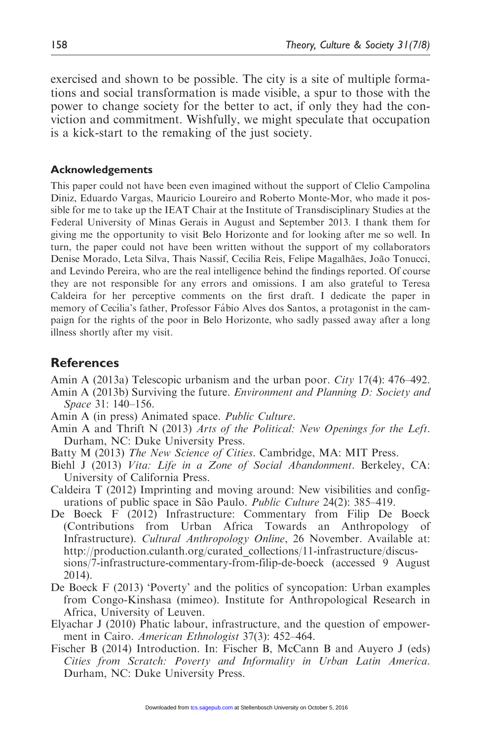exercised and shown to be possible. The city is a site of multiple formations and social transformation is made visible, a spur to those with the power to change society for the better to act, if only they had the conviction and commitment. Wishfully, we might speculate that occupation is a kick-start to the remaking of the just society.

#### Acknowledgements

This paper could not have been even imagined without the support of Clelio Campolina Diniz, Eduardo Vargas, Mauricio Loureiro and Roberto Monte-Mor, who made it possible for me to take up the IEAT Chair at the Institute of Transdisciplinary Studies at the Federal University of Minas Gerais in August and September 2013. I thank them for giving me the opportunity to visit Belo Horizonte and for looking after me so well. In turn, the paper could not have been written without the support of my collaborators Denise Morado, Leta Silva, Thais Nassif, Cecília Reis, Felipe Magalhães, João Tonucci, and Levindo Pereira, who are the real intelligence behind the findings reported. Of course they are not responsible for any errors and omissions. I am also grateful to Teresa Caldeira for her perceptive comments on the first draft. I dedicate the paper in memory of Cecília's father, Professor Fábio Alves dos Santos, a protagonist in the campaign for the rights of the poor in Belo Horizonte, who sadly passed away after a long illness shortly after my visit.

## References

- Amin A (2013a) Telescopic urbanism and the urban poor. City 17(4): 476–492.
- Amin A (2013b) Surviving the future. Environment and Planning D: Society and Space 31: 140–156.
- Amin A (in press) Animated space. Public Culture.
- Amin A and Thrift N (2013) Arts of the Political: New Openings for the Left. Durham, NC: Duke University Press.
- Batty M (2013) The New Science of Cities. Cambridge, MA: MIT Press.
- Biehl J (2013) Vita: Life in a Zone of Social Abandonment. Berkeley, CA: University of California Press.
- Caldeira T (2012) Imprinting and moving around: New visibilities and configurations of public space in São Paulo. *Public Culture* 24(2): 385–419.
- De Boeck F (2012) Infrastructure: Commentary from Filip De Boeck (Contributions from Urban Africa Towards an Anthropology Infrastructure). Cultural Anthropology Online, 26 November. Available at: [http://production.culanth.org/curated\\_collections/11-infrastructure/discus](http://production.culanth.org/curated_collections/11-infrastructure/discussions/7-infrastructure-commentary-from-filip-de-boeck)[sions/7-infrastructure-commentary-from-filip-de-boeck](http://production.culanth.org/curated_collections/11-infrastructure/discussions/7-infrastructure-commentary-from-filip-de-boeck) (accessed 9 August 2014).
- De Boeck F (2013) 'Poverty' and the politics of syncopation: Urban examples from Congo-Kinshasa (mimeo). Institute for Anthropological Research in Africa, University of Leuven.
- Elyachar J (2010) Phatic labour, infrastructure, and the question of empowerment in Cairo. American Ethnologist 37(3): 452–464.
- Fischer B (2014) Introduction. In: Fischer B, McCann B and Auyero J (eds) Cities from Scratch: Poverty and Informality in Urban Latin America. Durham, NC: Duke University Press.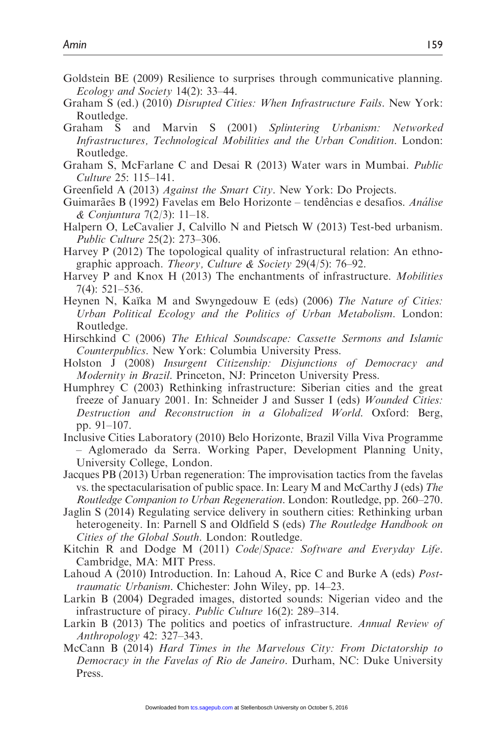- Goldstein BE (2009) Resilience to surprises through communicative planning. Ecology and Society 14(2): 33–44.
- Graham S (ed.) (2010) Disrupted Cities: When Infrastructure Fails. New York: Routledge.
- Graham S and Marvin S (2001) Splintering Urbanism: Networked Infrastructures, Technological Mobilities and the Urban Condition. London: Routledge.
- Graham S, McFarlane C and Desai R (2013) Water wars in Mumbai. Public Culture 25: 115–141.
- Greenfield A (2013) Against the Smart City. New York: Do Projects.
- Guimarães B (1992) Favelas em Belo Horizonte tendências e desafios. Análise & Conjuntura 7(2/3): 11–18.
- Halpern O, LeCavalier J, Calvillo N and Pietsch W (2013) Test-bed urbanism. Public Culture 25(2): 273–306.
- Harvey P (2012) The topological quality of infrastructural relation: An ethnographic approach. Theory, Culture & Society 29(4/5): 76–92.
- Harvey P and Knox H (2013) The enchantments of infrastructure. Mobilities 7(4): 521–536.
- Heynen N, Kaïka M and Swyngedouw E (eds) (2006) The Nature of Cities: Urban Political Ecology and the Politics of Urban Metabolism. London: Routledge.
- Hirschkind C (2006) The Ethical Soundscape: Cassette Sermons and Islamic Counterpublics. New York: Columbia University Press.
- Holston J (2008) Insurgent Citizenship: Disjunctions of Democracy and Modernity in Brazil. Princeton, NJ: Princeton University Press.
- Humphrey C (2003) Rethinking infrastructure: Siberian cities and the great freeze of January 2001. In: Schneider J and Susser I (eds) Wounded Cities: Destruction and Reconstruction in a Globalized World. Oxford: Berg, pp. 91–107.
- Inclusive Cities Laboratory (2010) Belo Horizonte, Brazil Villa Viva Programme – Aglomerado da Serra. Working Paper, Development Planning Unity, University College, London.
- Jacques PB (2013) Urban regeneration: The improvisation tactics from the favelas vs. the spectacularisation of public space. In: Leary M and McCarthy J (eds) The Routledge Companion to Urban Regeneration. London: Routledge, pp. 260–270.
- Jaglin S (2014) Regulating service delivery in southern cities: Rethinking urban heterogeneity. In: Parnell S and Oldfield S (eds) The Routledge Handbook on Cities of the Global South. London: Routledge.
- Kitchin R and Dodge M (2011) Code/Space: Software and Everyday Life. Cambridge, MA: MIT Press.
- Lahoud A (2010) Introduction. In: Lahoud A, Rice C and Burke A (eds) Posttraumatic Urbanism. Chichester: John Wiley, pp. 14–23.
- Larkin B (2004) Degraded images, distorted sounds: Nigerian video and the infrastructure of piracy. Public Culture 16(2): 289–314.
- Larkin B (2013) The politics and poetics of infrastructure. Annual Review of Anthropology 42: 327–343.
- McCann B (2014) Hard Times in the Marvelous City: From Dictatorship to Democracy in the Favelas of Rio de Janeiro. Durham, NC: Duke University Press.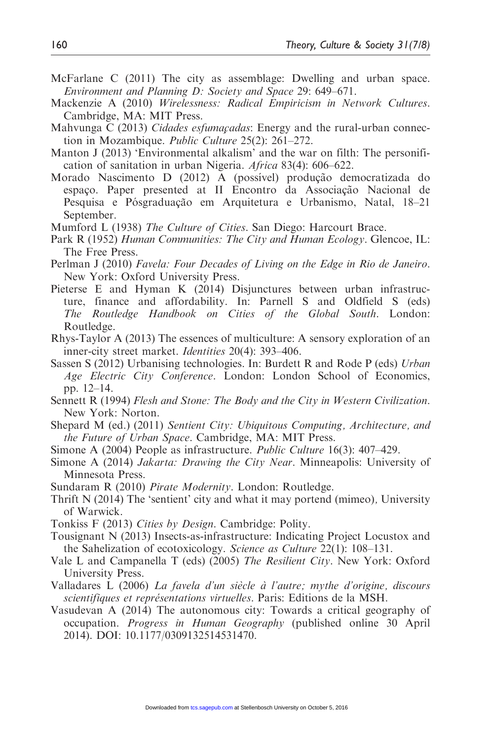- McFarlane C (2011) The city as assemblage: Dwelling and urban space. Environment and Planning D: Society and Space 29: 649–671.
- Mackenzie A (2010) Wirelessness: Radical Empiricism in Network Cultures. Cambridge, MA: MIT Press.
- Mahvunga C (2013) Cidades esfumaçadas: Energy and the rural-urban connection in Mozambique. Public Culture 25(2): 261–272.
- Manton J (2013) 'Environmental alkalism' and the war on filth: The personification of sanitation in urban Nigeria. Africa 83(4): 606–622.
- Morado Nascimento D (2012) A (possível) produção democratizada do espaço. Paper presented at II Encontro da Associação Nacional de Pesquisa e Pósgraduação em Arquitetura e Urbanismo, Natal, 18–21 September.
- Mumford L (1938) The Culture of Cities. San Diego: Harcourt Brace.
- Park R (1952) Human Communities: The City and Human Ecology. Glencoe, IL: The Free Press.
- Perlman J (2010) Favela: Four Decades of Living on the Edge in Rio de Janeiro. New York: Oxford University Press.
- Pieterse E and Hyman K (2014) Disjunctures between urban infrastructure, finance and affordability. In: Parnell S and Oldfield S (eds) The Routledge Handbook on Cities of the Global South. London: Routledge.
- Rhys-Taylor A (2013) The essences of multiculture: A sensory exploration of an inner-city street market. Identities 20(4): 393–406.
- Sassen S (2012) Urbanising technologies. In: Burdett R and Rode P (eds) Urban Age Electric City Conference. London: London School of Economics, pp. 12–14.
- Sennett R (1994) Flesh and Stone: The Body and the City in Western Civilization. New York: Norton.
- Shepard M (ed.) (2011) Sentient City: Ubiquitous Computing, Architecture, and the Future of Urban Space. Cambridge, MA: MIT Press.
- Simone A (2004) People as infrastructure. Public Culture 16(3): 407–429.
- Simone A (2014) Jakarta: Drawing the City Near. Minneapolis: University of Minnesota Press.
- Sundaram R (2010) Pirate Modernity. London: Routledge.
- Thrift N (2014) The 'sentient' city and what it may portend (mimeo), University of Warwick.
- Tonkiss F (2013) Cities by Design. Cambridge: Polity.
- Tousignant N (2013) Insects-as-infrastructure: Indicating Project Locustox and the Sahelization of ecotoxicology. Science as Culture 22(1): 108–131.
- Vale L and Campanella T (eds) (2005) The Resilient City. New York: Oxford University Press.
- Valladares  $L$  (2006) La favela d'un siècle à l'autre; mythe d'origine, discours scientifiques et représentations virtuelles. Paris: Editions de la MSH.
- Vasudevan A (2014) The autonomous city: Towards a critical geography of occupation. Progress in Human Geography (published online 30 April 2014). DOI: 10.1177/0309132514531470.